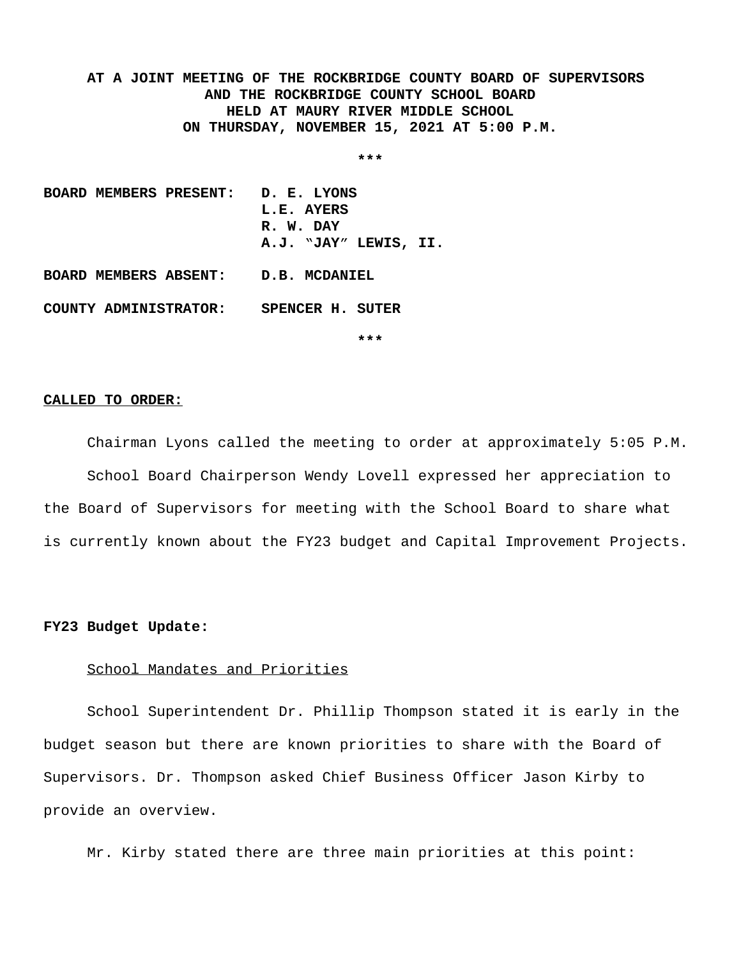**AT A JOINT MEETING OF THE ROCKBRIDGE COUNTY BOARD OF SUPERVISORS AND THE ROCKBRIDGE COUNTY SCHOOL BOARD HELD AT MAURY RIVER MIDDLE SCHOOL ON THURSDAY, NOVEMBER 15, 2021 AT 5:00 P.M.**

**\*\*\***

**BOARD MEMBERS PRESENT: D. E. LYONS L.E. AYERS R. W. DAY A.J. "JAY" LEWIS, II. BOARD MEMBERS ABSENT: D.B. MCDANIEL COUNTY ADMINISTRATOR: SPENCER H. SUTER**

**\*\*\***

#### **CALLED TO ORDER:**

Chairman Lyons called the meeting to order at approximately 5:05 P.M. School Board Chairperson Wendy Lovell expressed her appreciation to the Board of Supervisors for meeting with the School Board to share what is currently known about the FY23 budget and Capital Improvement Projects.

### **FY23 Budget Update:**

### School Mandates and Priorities

School Superintendent Dr. Phillip Thompson stated it is early in the budget season but there are known priorities to share with the Board of Supervisors. Dr. Thompson asked Chief Business Officer Jason Kirby to provide an overview.

Mr. Kirby stated there are three main priorities at this point: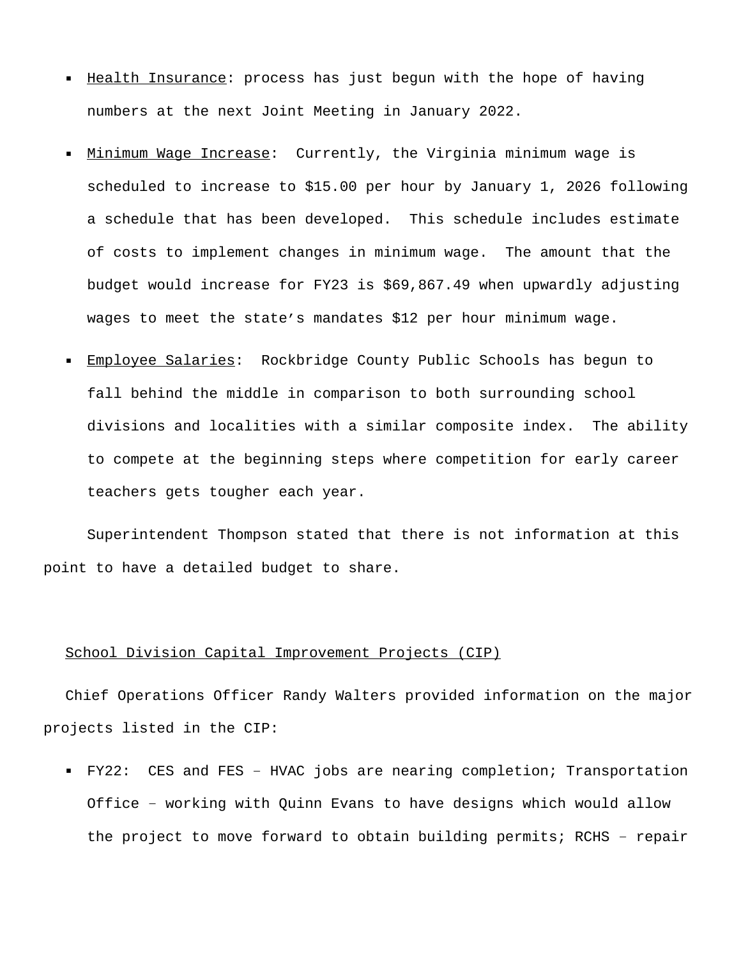- Health Insurance: process has just begun with the hope of having numbers at the next Joint Meeting in January 2022.
- Minimum Wage Increase: Currently, the Virginia minimum wage is scheduled to increase to \$15.00 per hour by January 1, 2026 following a schedule that has been developed. This schedule includes estimate of costs to implement changes in minimum wage. The amount that the budget would increase for FY23 is \$69,867.49 when upwardly adjusting wages to meet the state's mandates \$12 per hour minimum wage.
- Employee Salaries: Rockbridge County Public Schools has begun to fall behind the middle in comparison to both surrounding school divisions and localities with a similar composite index. The ability to compete at the beginning steps where competition for early career teachers gets tougher each year.

Superintendent Thompson stated that there is not information at this point to have a detailed budget to share.

## School Division Capital Improvement Projects (CIP)

Chief Operations Officer Randy Walters provided information on the major projects listed in the CIP:

 FY22: CES and FES – HVAC jobs are nearing completion; Transportation Office – working with Quinn Evans to have designs which would allow the project to move forward to obtain building permits; RCHS – repair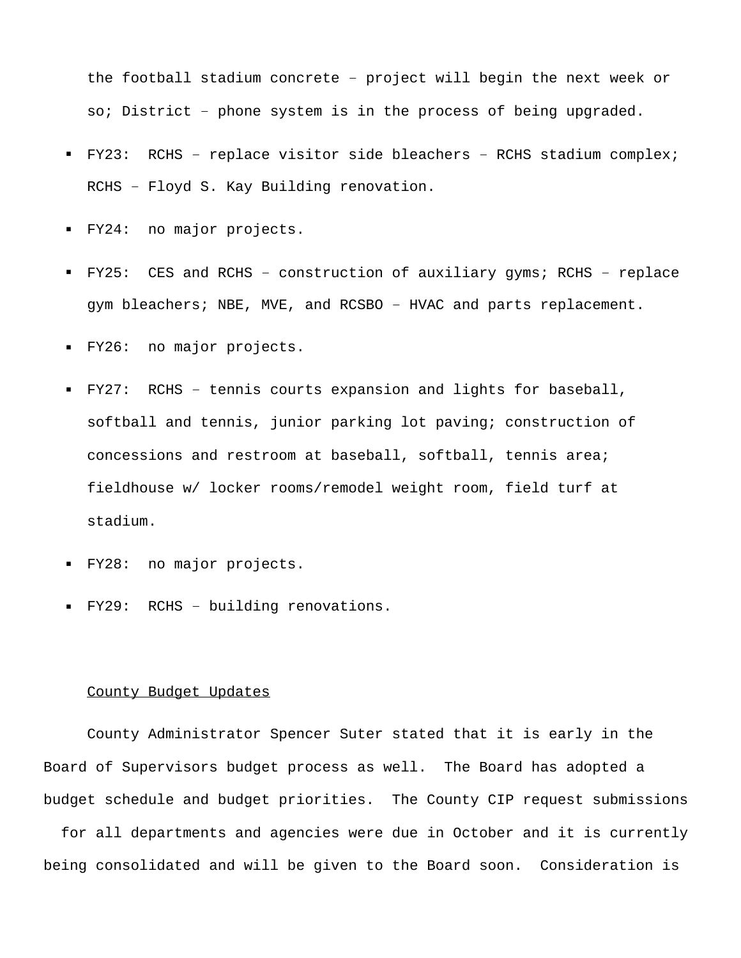the football stadium concrete – project will begin the next week or so; District – phone system is in the process of being upgraded.

- FY23: RCHS replace visitor side bleachers RCHS stadium complex; RCHS – Floyd S. Kay Building renovation.
- FY24: no major projects.
- FY25: CES and RCHS construction of auxiliary gyms; RCHS replace gym bleachers; NBE, MVE, and RCSBO – HVAC and parts replacement.
- FY26: no major projects.
- FY27: RCHS tennis courts expansion and lights for baseball, softball and tennis, junior parking lot paving; construction of concessions and restroom at baseball, softball, tennis area; fieldhouse w/ locker rooms/remodel weight room, field turf at stadium.
- FY28: no major projects.
- FY29: RCHS building renovations.

#### County Budget Updates

County Administrator Spencer Suter stated that it is early in the Board of Supervisors budget process as well. The Board has adopted a budget schedule and budget priorities. The County CIP request submissions

 for all departments and agencies were due in October and it is currently being consolidated and will be given to the Board soon. Consideration is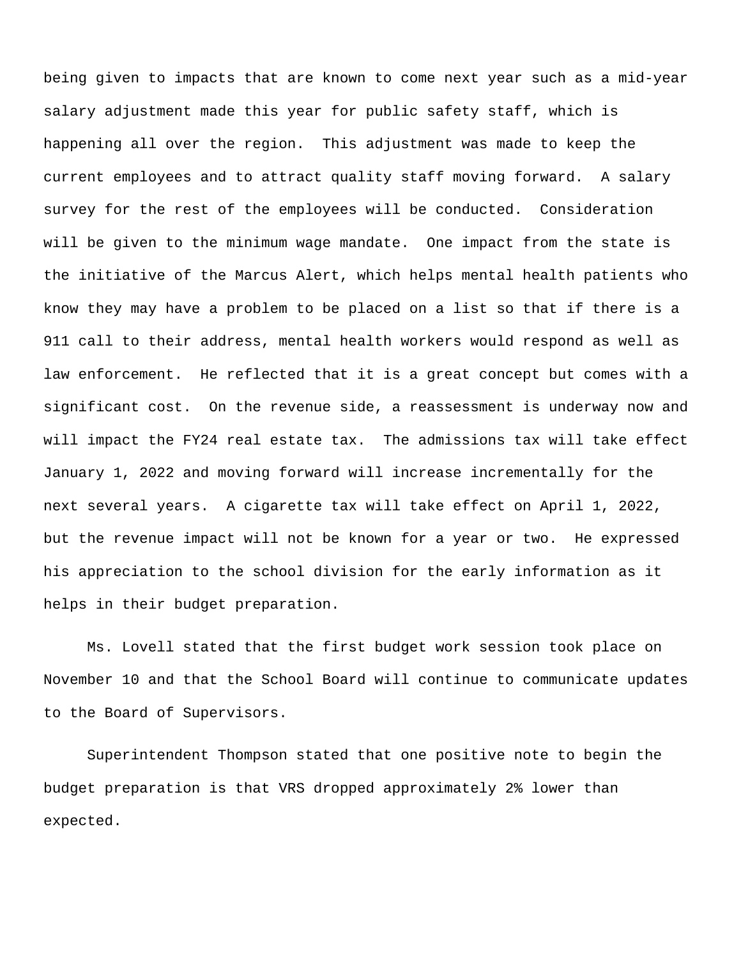being given to impacts that are known to come next year such as a mid-year salary adjustment made this year for public safety staff, which is happening all over the region. This adjustment was made to keep the current employees and to attract quality staff moving forward. A salary survey for the rest of the employees will be conducted. Consideration will be given to the minimum wage mandate. One impact from the state is the initiative of the Marcus Alert, which helps mental health patients who know they may have a problem to be placed on a list so that if there is a 911 call to their address, mental health workers would respond as well as law enforcement. He reflected that it is a great concept but comes with a significant cost. On the revenue side, a reassessment is underway now and will impact the FY24 real estate tax. The admissions tax will take effect January 1, 2022 and moving forward will increase incrementally for the next several years. A cigarette tax will take effect on April 1, 2022, but the revenue impact will not be known for a year or two. He expressed his appreciation to the school division for the early information as it helps in their budget preparation.

Ms. Lovell stated that the first budget work session took place on November 10 and that the School Board will continue to communicate updates to the Board of Supervisors.

Superintendent Thompson stated that one positive note to begin the budget preparation is that VRS dropped approximately 2% lower than expected.